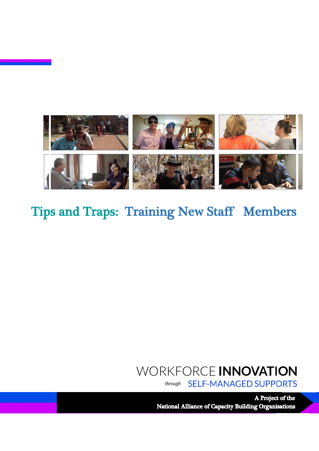

## Tips and Traps: Training New Staff Members

### WORKFORCE INNOVATION **SELF-MANAGED SUPPORTS** through

A Project of the National Alliance of Capacity Building Organisations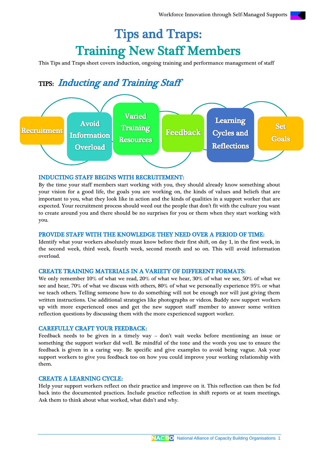# Tips and Traps: Training New Staff Members

This Tips and Traps sheet covers induction, ongoing training and performance management of staff

## TIPS: Inducting and Training Staff



### INDUCTING STAFF BEGINS WITH RECRUITEMENT:

By the time your staff members start working with you, they should already know something about your vision for a good life, the goals you are working on, the kinds of values and beliefs that are important to you, what they look like in action and the kinds of qualities in a support worker that are expected. Your recruitment process should weed out the people that don't fit with the culture you want to create around you and there should be no surprises for you or them when they start working with you.

### PROVIDE STAFF WITH THE KNOWLEDGE THEY NEED OVER A PERIOD OF TIME:

Identify what your workers absolutely must know before their first shift, on day 1, in the first week, in the second week, third week, fourth week, second month and so on. This will avoid information overload.

### CREATE TRAINING MATERIALS IN A VARIETY OF DIFFERENT FORMATS:

We only remember 10% of what we read, 20% of what we hear, 30% of what we see, 50% of what we see and hear, 70% of what we discuss with others, 80% of what we personally experience 95% or what we teach others. Telling someone how to do something will not be enough nor will just giving them written instructions. Use additional strategies like photographs or videos. Buddy new support workers up with more experienced ones and get the new support staff member to answer some written reflection questions by discussing them with the more experienced support worker.

### CAREFULLY CRAFT YOUR FEEDBACK:

Feedback needs to be given in a timely way – don't wait weeks before mentioning an issue or something the support worker did well. Be mindful of the tone and the words you use to ensure the feedback is given in a caring way. Be specific and give examples to avoid being vague. Ask your support workers to give you feedback too on how you could improve your working relationship with them.

### CREATE A LEARNING CYCLE:

Help your support workers reflect on their practice and improve on it. This reflection can then be fed back into the documented practices. Include practice reflection in shift reports or at team meetings. Ask them to think about what worked, what didn't and why.